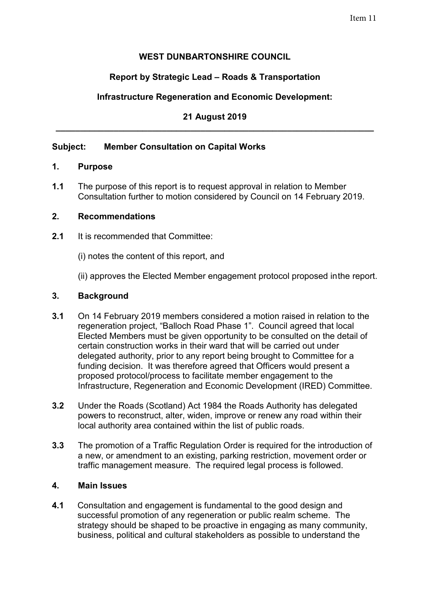## **WEST DUNBARTONSHIRE COUNCIL**

# **Report by Strategic Lead – Roads & Transportation**

# **Infrastructure Regeneration and Economic Development:**

### **21 August 2019 \_\_\_\_\_\_\_\_\_\_\_\_\_\_\_\_\_\_\_\_\_\_\_\_\_\_\_\_\_\_\_\_\_\_\_\_\_\_\_\_\_\_\_\_\_\_\_\_\_\_\_\_\_\_\_\_\_\_\_\_\_\_\_\_\_\_**

## **Subject: Member Consultation on Capital Works**

#### **1. Purpose**

**1.1** The purpose of this report is to request approval in relation to Member Consultation further to motion considered by Council on 14 February 2019.

#### **2. Recommendations**

- **2.1** It is recommended that Committee:
	- (i) notes the content of this report, and

(ii) approves the Elected Member engagement protocol proposed in the report.

#### **3. Background**

- **3.1** On 14 February 2019 members considered a motion raised in relation to the regeneration project, "Balloch Road Phase 1". Council agreed that local Elected Members must be given opportunity to be consulted on the detail of certain construction works in their ward that will be carried out under delegated authority, prior to any report being brought to Committee for a funding decision. It was therefore agreed that Officers would present a proposed protocol/process to facilitate member engagement to the Infrastructure, Regeneration and Economic Development (IRED) Committee.
- **3.2** Under the Roads (Scotland) Act 1984 the Roads Authority has delegated powers to reconstruct, alter, widen, improve or renew any road within their local authority area contained within the list of public roads.
- **3.3** The promotion of a Traffic Regulation Order is required for the introduction of a new, or amendment to an existing, parking restriction, movement order or traffic management measure. The required legal process is followed.

#### **4. Main Issues**

**4.1** Consultation and engagement is fundamental to the good design and successful promotion of any regeneration or public realm scheme. The strategy should be shaped to be proactive in engaging as many community, business, political and cultural stakeholders as possible to understand the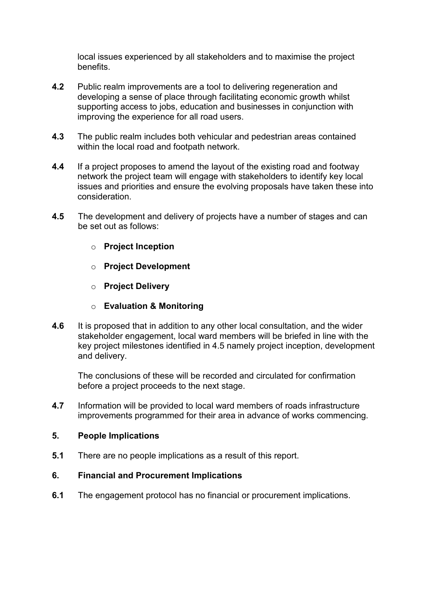local issues experienced by all stakeholders and to maximise the project benefits.

- **4.2** Public realm improvements are a tool to delivering regeneration and developing a sense of place through facilitating economic growth whilst supporting access to jobs, education and businesses in conjunction with improving the experience for all road users.
- **4.3** The public realm includes both vehicular and pedestrian areas contained within the local road and footpath network.
- **4.4** If a project proposes to amend the layout of the existing road and footway network the project team will engage with stakeholders to identify key local issues and priorities and ensure the evolving proposals have taken these into consideration.
- **4.5** The development and delivery of projects have a number of stages and can be set out as follows:
	- o **Project Inception**
	- o **Project Development**
	- o **Project Delivery**
	- o **Evaluation & Monitoring**
- **4.6** It is proposed that in addition to any other local consultation, and the wider stakeholder engagement, local ward members will be briefed in line with the key project milestones identified in 4.5 namely project inception, development and delivery.

The conclusions of these will be recorded and circulated for confirmation before a project proceeds to the next stage.

**4.7** Information will be provided to local ward members of roads infrastructure improvements programmed for their area in advance of works commencing.

#### **5. People Implications**

**5.1** There are no people implications as a result of this report.

#### **6. Financial and Procurement Implications**

**6.1** The engagement protocol has no financial or procurement implications.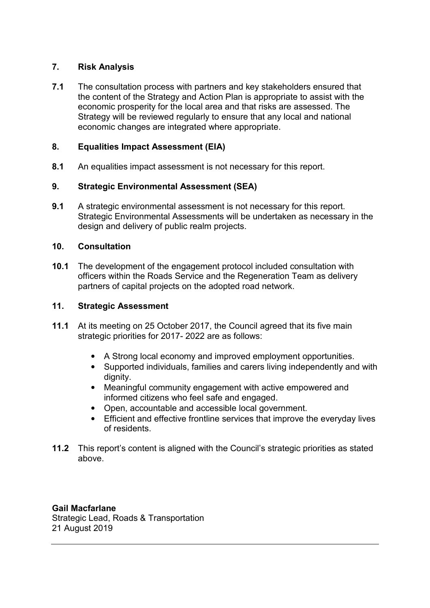## **7. Risk Analysis**

**7.1** The consultation process with partners and key stakeholders ensured that the content of the Strategy and Action Plan is appropriate to assist with the economic prosperity for the local area and that risks are assessed. The Strategy will be reviewed regularly to ensure that any local and national economic changes are integrated where appropriate.

### **8. Equalities Impact Assessment (EIA)**

**8.1** An equalities impact assessment is not necessary for this report.

## **9. Strategic Environmental Assessment (SEA)**

**9.1** A strategic environmental assessment is not necessary for this report. Strategic Environmental Assessments will be undertaken as necessary in the design and delivery of public realm projects.

#### **10. Consultation**

**10.1** The development of the engagement protocol included consultation with officers within the Roads Service and the Regeneration Team as delivery partners of capital projects on the adopted road network.

#### **11. Strategic Assessment**

- **11.1** At its meeting on 25 October 2017, the Council agreed that its five main strategic priorities for 2017- 2022 are as follows:
	- A Strong local economy and improved employment opportunities.
	- Supported individuals, families and carers living independently and with dianity.
	- Meaningful community engagement with active empowered and informed citizens who feel safe and engaged.
	- Open, accountable and accessible local government.
	- Efficient and effective frontline services that improve the everyday lives of residents.
- **11.2** This report's content is aligned with the Council's strategic priorities as stated above.

#### **Gail Macfarlane**

Strategic Lead, Roads & Transportation 21 August 2019